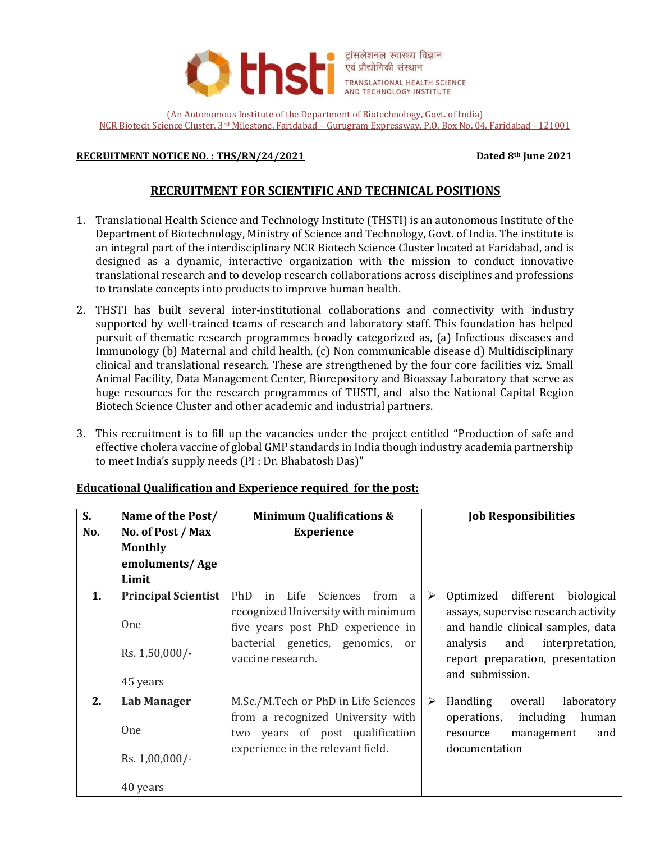

(An Autonomous Institute of the Department of Biotechnology, Govt. of India) NCR Biotech Science Cluster, 3rd Milestone, Faridabad – Gurugram Expressway, P.O. Box No. 04, Faridabad - 121001

#### **RECRUITMENT NOTICE NO. : THS/RN/24/2021 Dated 8th June 2021**

### **RECRUITMENT FOR SCIENTIFIC AND TECHNICAL POSITIONS**

- 1. Translational Health Science and Technology Institute (THSTI) is an autonomous Institute of the Department of Biotechnology, Ministry of Science and Technology, Govt. of India. The institute is an integral part of the interdisciplinary NCR Biotech Science Cluster located at Faridabad, and is designed as a dynamic, interactive organization with the mission to conduct innovative translational research and to develop research collaborations across disciplines and professions to translate concepts into products to improve human health.
- 2. THSTI has built several inter-institutional collaborations and connectivity with industry supported by well-trained teams of research and laboratory staff. This foundation has helped pursuit of thematic research programmes broadly categorized as, (a) Infectious diseases and Immunology (b) Maternal and child health, (c) Non communicable disease d) Multidisciplinary clinical and translational research. These are strengthened by the four core facilities viz. Small Animal Facility, Data Management Center, Biorepository and Bioassay Laboratory that serve as huge resources for the research programmes of THSTI, and also the National Capital Region Biotech Science Cluster and other academic and industrial partners.
- 3. This recruitment is to fill up the vacancies under the project entitled "Production of safe and effective cholera vaccine of global GMP standards in India though industry academia partnership to meet India's supply needs (PI : Dr. Bhabatosh Das)"

| S.  | Name of the Post/          | <b>Minimum Qualifications &amp;</b>                                                                          | <b>Job Responsibilities</b>                                                                                    |  |
|-----|----------------------------|--------------------------------------------------------------------------------------------------------------|----------------------------------------------------------------------------------------------------------------|--|
| No. | No. of Post / Max          | <b>Experience</b>                                                                                            |                                                                                                                |  |
|     | <b>Monthly</b>             |                                                                                                              |                                                                                                                |  |
|     | emoluments/Age             |                                                                                                              |                                                                                                                |  |
|     | Limit                      |                                                                                                              |                                                                                                                |  |
| 1.  | <b>Principal Scientist</b> | Life<br>PhD<br>Sciences<br>from<br>in<br><sub>a</sub>                                                        | different<br>biological<br>Optimized<br>➤                                                                      |  |
|     | <b>One</b>                 | recognized University with minimum<br>five years post PhD experience in<br>bacterial genetics, genomics, or  | assays, supervise research activity<br>and handle clinical samples, data<br>analysis<br>and<br>interpretation, |  |
|     | Rs. 1,50,000/-<br>45 years | vaccine research.                                                                                            | report preparation, presentation<br>and submission.                                                            |  |
| 2.  | <b>Lab Manager</b>         | M.Sc./M.Tech or PhD in Life Sciences                                                                         | Handling<br>➤<br>overall<br>laboratory                                                                         |  |
|     | <b>One</b>                 | from a recognized University with<br>years of post qualification<br>two<br>experience in the relevant field. | including<br>human<br>operations,<br>and<br>management<br>resource<br>documentation                            |  |
|     | Rs. 1,00,000/-             |                                                                                                              |                                                                                                                |  |
|     | 40 years                   |                                                                                                              |                                                                                                                |  |

#### **Educational Qualification and Experience required for the post:**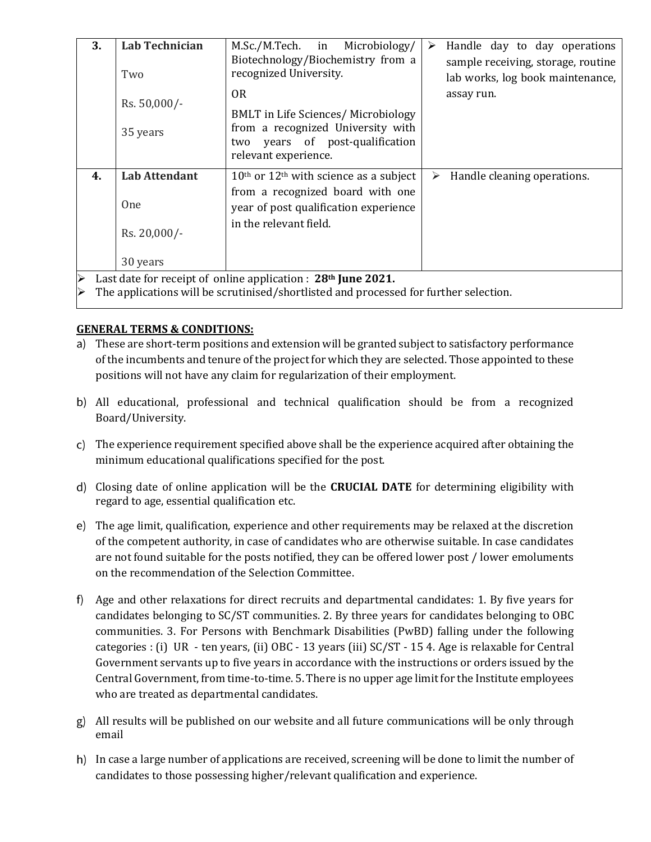| 3.                                                                                          | <b>Lab Technician</b><br>Two<br>Rs. 50,000/-<br>35 years | M.Sc./M.Tech. in<br>Microbiology/<br>Biotechnology/Biochemistry from a<br>recognized University.<br><b>OR</b><br><b>BMLT</b> in Life Sciences/ Microbiology<br>from a recognized University with<br>years of post-qualification<br>two | ➤ | Handle day to day operations<br>sample receiving, storage, routine<br>lab works, log book maintenance,<br>assay run. |
|---------------------------------------------------------------------------------------------|----------------------------------------------------------|----------------------------------------------------------------------------------------------------------------------------------------------------------------------------------------------------------------------------------------|---|----------------------------------------------------------------------------------------------------------------------|
|                                                                                             |                                                          | relevant experience.                                                                                                                                                                                                                   |   |                                                                                                                      |
| 4.                                                                                          | <b>Lab Attendant</b>                                     | $10th$ or $12th$ with science as a subject                                                                                                                                                                                             | ➤ | Handle cleaning operations.                                                                                          |
|                                                                                             | 0 <sub>ne</sub>                                          | from a recognized board with one<br>year of post qualification experience                                                                                                                                                              |   |                                                                                                                      |
|                                                                                             | Rs. 20,000/-                                             | in the relevant field.                                                                                                                                                                                                                 |   |                                                                                                                      |
|                                                                                             | 30 years                                                 |                                                                                                                                                                                                                                        |   |                                                                                                                      |
| Last data for receint of online application $\cdot$ 28th June 2021<br>$\blacktriangleright$ |                                                          |                                                                                                                                                                                                                                        |   |                                                                                                                      |

Last date for receipt of online application : **28th June 2021.**

The applications will be scrutinised/shortlisted and processed for further selection.

# **GENERAL TERMS & CONDITIONS:**

- These are short-term positions and extension will be granted subject to satisfactory performance of the incumbents and tenure of the project for which they are selected. Those appointed to these positions will not have any claim for regularization of their employment.
- All educational, professional and technical qualification should be from a recognized Board/University.
- The experience requirement specified above shall be the experience acquired after obtaining the minimum educational qualifications specified for the post.
- Closing date of online application will be the **CRUCIAL DATE** for determining eligibility with regard to age, essential qualification etc.
- The age limit, qualification, experience and other requirements may be relaxed at the discretion of the competent authority, in case of candidates who are otherwise suitable. In case candidates are not found suitable for the posts notified, they can be offered lower post / lower emoluments on the recommendation of the Selection Committee.
- Age and other relaxations for direct recruits and departmental candidates: 1. By five years for candidates belonging to SC/ST communities. 2. By three years for candidates belonging to OBC communities. 3. For Persons with Benchmark Disabilities (PwBD) falling under the following categories : (i) UR - ten years, (ii) OBC - 13 years (iii) SC/ST - 15 4. Age is relaxable for Central Government servants up to five years in accordance with the instructions or orders issued by the Central Government, from time-to-time. 5. There is no upper age limit for the Institute employees who are treated as departmental candidates.
- All results will be published on our website and all future communications will be only through email
- h) In case a large number of applications are received, screening will be done to limit the number of candidates to those possessing higher/relevant qualification and experience.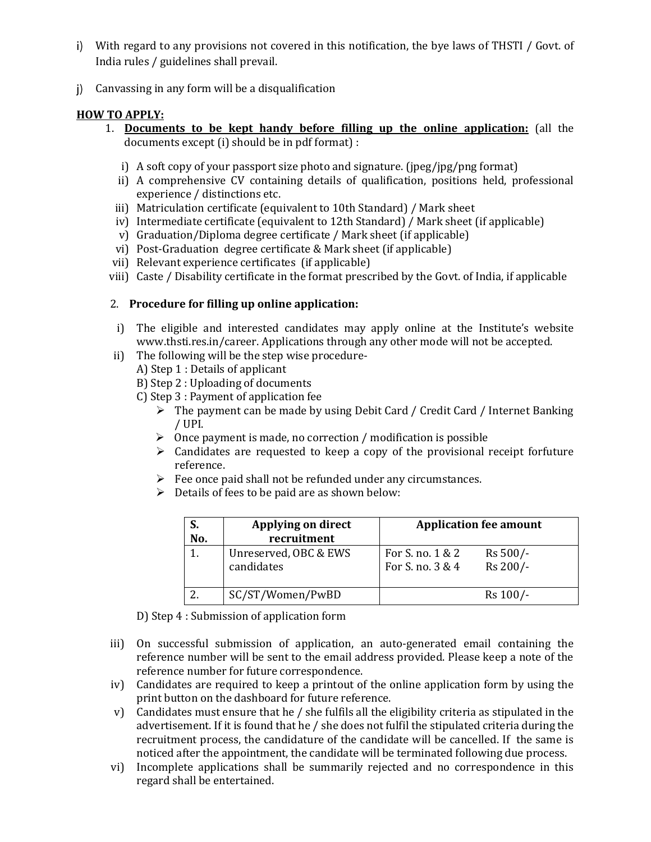- With regard to any provisions not covered in this notification, the bye laws of THSTI / Govt. of India rules / guidelines shall prevail.
- Canvassing in any form will be a disqualification

### **HOW TO APPLY:**

- 1. **Documents to be kept handy before filling up the online application:** (all the documents except (i) should be in pdf format) :
	- i) A soft copy of your passport size photo and signature. (jpeg/jpg/png format)
	- ii) A comprehensive CV containing details of qualification, positions held, professional experience / distinctions etc.
	- iii) Matriculation certificate (equivalent to 10th Standard) / Mark sheet
	- iv) Intermediate certificate (equivalent to 12th Standard) / Mark sheet (if applicable)
	- v) Graduation/Diploma degree certificate / Mark sheet (if applicable)
	- vi) Post-Graduation degree certificate & Mark sheet (if applicable)
	- vii) Relevant experience certificates (if applicable)
- viii) Caste / Disability certificate in the format prescribed by the Govt. of India, if applicable

# 2. **Procedure for filling up online application:**

- i) The eligible and interested candidates may apply online at the Institute's website [www.thsti.res.in/career.](http://www.thsti.res.in/career) Applications through any other mode will not be accepted.
- ii) The following will be the step wise procedure-
	- A) Step 1 : Details of applicant
	- B) Step 2 : Uploading of documents
	- C) Step 3 : Payment of application fee
		- $\triangleright$  The payment can be made by using Debit Card / Credit Card / Internet Banking / UPI.
		- $\triangleright$  Once payment is made, no correction / modification is possible
		- $\triangleright$  Candidates are requested to keep a copy of the provisional receipt forfuture reference.
		- $\triangleright$  Fee once paid shall not be refunded under any circumstances.
		- $\triangleright$  Details of fees to be paid are as shown below:

| S.<br>No. | <b>Applying on direct</b><br>recruitment | <b>Application fee amount</b>                                |  |  |
|-----------|------------------------------------------|--------------------------------------------------------------|--|--|
|           | Unreserved, OBC & EWS<br>candidates      | Rs 500/-<br>For S. no. 1 & 2<br>Rs 200/-<br>For S. no. 3 & 4 |  |  |
|           | SC/ST/Women/PwBD                         | $Rs 100/-$                                                   |  |  |

D) Step 4 : Submission of application form

- iii) On successful submission of application, an auto-generated email containing the reference number will be sent to the email address provided. Please keep a note of the reference number for future correspondence.
- iv) Candidates are required to keep a printout of the online application form by using the print button on the dashboard for future reference.
- v) Candidates must ensure that he / she fulfils all the eligibility criteria as stipulated in the advertisement. If it is found that he / she does not fulfil the stipulated criteria during the recruitment process, the candidature of the candidate will be cancelled. If the same is noticed after the appointment, the candidate will be terminated following due process.
- vi) Incomplete applications shall be summarily rejected and no correspondence in this regard shall be entertained.